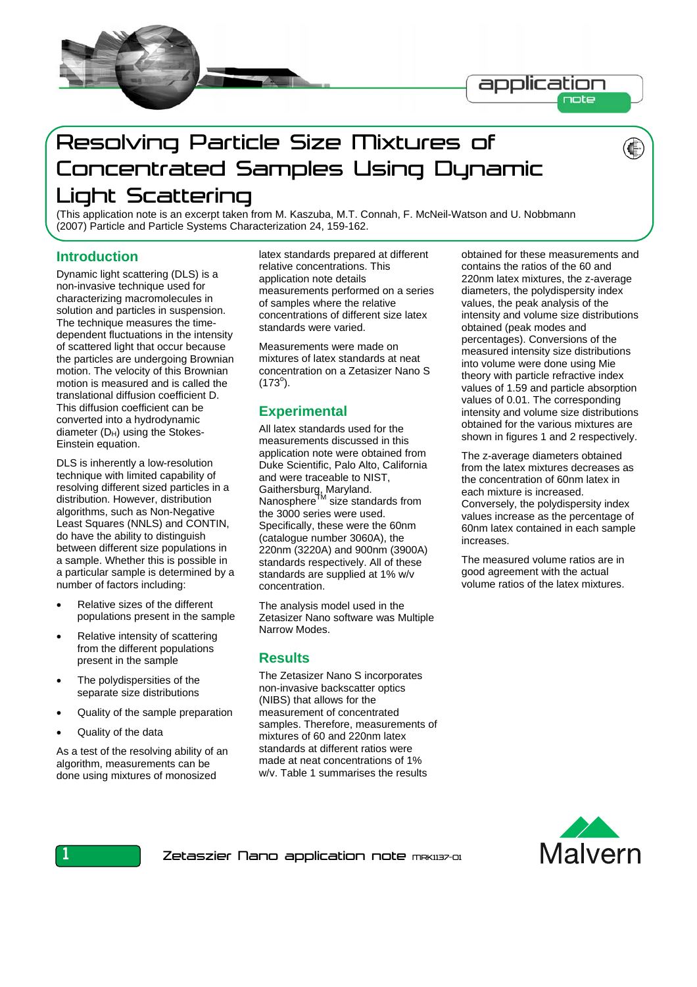

# Resolving Particle Size Mixtures of Concentrated Samples Using Dynamic Light Scattering

(This application note is an excerpt taken from M. Kaszuba, M.T. Connah, F. McNeil-Watson and U. Nobbmann (2007) Particle and Particle Systems Characterization 24, 159-162.

#### **Introduction**

Dynamic light scattering (DLS) is a non-invasive technique used for characterizing macromolecules in solution and particles in suspension. The technique measures the timedependent fluctuations in the intensity of scattered light that occur because the particles are undergoing Brownian motion. The velocity of this Brownian motion is measured and is called the translational diffusion coefficient D. This diffusion coefficient can be converted into a hydrodynamic diameter  $(D_H)$  using the Stokes-Einstein equation.

DLS is inherently a low-resolution technique with limited capability of resolving different sized particles in a distribution. However, distribution algorithms, such as Non-Negative Least Squares (NNLS) and CONTIN, do have the ability to distinguish between different size populations in a sample. Whether this is possible in a particular sample is determined by a number of factors including:

- Relative sizes of the different populations present in the sample
- Relative intensity of scattering from the different populations present in the sample
- The polydispersities of the separate size distributions
- Quality of the sample preparation
- Quality of the data

As a test of the resolving ability of an algorithm, measurements can be done using mixtures of monosized

latex standards prepared at different relative concentrations. This application note details measurements performed on a series of samples where the relative concentrations of different size latex standards were varied.

Measurements were made on mixtures of latex standards at neat concentration on a Zetasizer Nano S  $(173^{\circ}).$ 

#### **Experimental**

All latex standards used for the measurements discussed in this application note were obtained from Duke Scientific, Palo Alto, California and were traceable to NIST, Gaithersburg, Maryland. Nanosphere<sup>TM</sup> size standards from the 3000 series were used. Specifically, these were the 60nm (catalogue number 3060A), the 220nm (3220A) and 900nm (3900A) standards respectively. All of these standards are supplied at 1% w/v concentration.

The analysis model used in the Zetasizer Nano software was Multiple Narrow Modes.

#### **Results**

The Zetasizer Nano S incorporates non-invasive backscatter optics (NIBS) that allows for the measurement of concentrated samples. Therefore, measurements of mixtures of 60 and 220nm latex standards at different ratios were made at neat concentrations of 1% w/v. Table 1 summarises the results

obtained for these measurements and contains the ratios of the 60 and 220nm latex mixtures, the z-average diameters, the polydispersity index values, the peak analysis of the intensity and volume size distributions obtained (peak modes and percentages). Conversions of the measured intensity size distributions into volume were done using Mie theory with particle refractive index values of 1.59 and particle absorption values of 0.01. The corresponding intensity and volume size distributions obtained for the various mixtures are shown in figures 1 and 2 respectively.

The z-average diameters obtained from the latex mixtures decreases as the concentration of 60nm latex in each mixture is increased. Conversely, the polydispersity index values increase as the percentage of 60nm latex contained in each sample increases.

The measured volume ratios are in good agreement with the actual volume ratios of the latex mixtures.



Zetaszier Nano application note meklisz-ol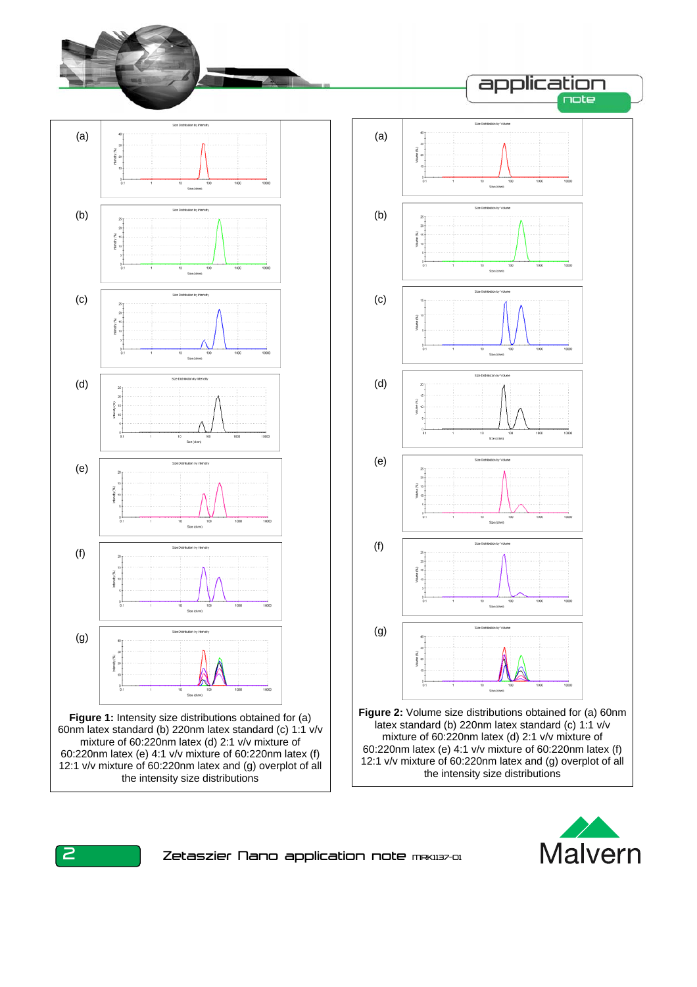





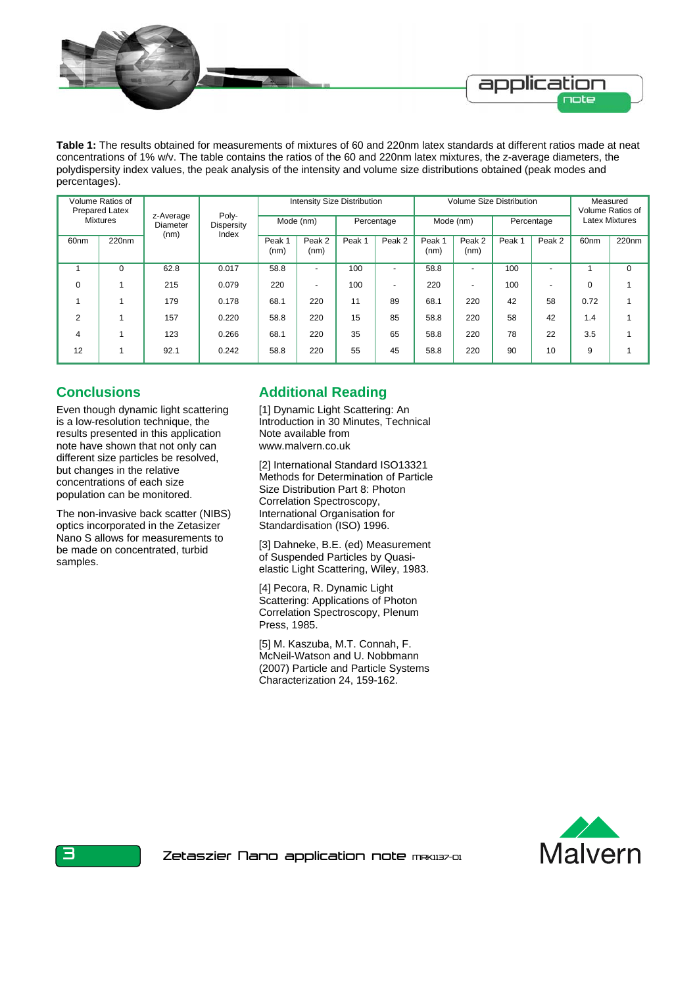

**Table 1:** The results obtained for measurements of mixtures of 60 and 220nm latex standards at different ratios made at neat concentrations of 1% w/v. The table contains the ratios of the 60 and 220nm latex mixtures, the z-average diameters, the polydispersity index values, the peak analysis of the intensity and volume size distributions obtained (peak modes and percentages).

| Volume Ratios of<br><b>Prepared Latex</b><br><b>Mixtures</b> |                   | z-Average<br>Diameter<br>(nm) | Poly-<br>Dispersity<br>Index | <b>Intensity Size Distribution</b> |                          |            |                          | <b>Volume Size Distribution</b> |                          |            |                          | Measured<br>Volume Ratios of |                   |
|--------------------------------------------------------------|-------------------|-------------------------------|------------------------------|------------------------------------|--------------------------|------------|--------------------------|---------------------------------|--------------------------|------------|--------------------------|------------------------------|-------------------|
|                                                              |                   |                               |                              | Mode (nm)                          |                          | Percentage |                          | Mode (nm)                       |                          | Percentage |                          | <b>Latex Mixtures</b>        |                   |
| 60 <sub>nm</sub>                                             | 220 <sub>nm</sub> |                               |                              | Peak 1<br>(nm)                     | Peak 2<br>(nm)           | Peak 1     | Peak 2                   | Peak 1<br>(nm)                  | Peak 2<br>(nm)           | Peak 1     | Peak 2                   | 60 <sub>nm</sub>             | 220 <sub>nm</sub> |
|                                                              | 0                 | 62.8                          | 0.017                        | 58.8                               | $\overline{\phantom{0}}$ | 100        | $\overline{a}$           | 58.8                            | $\overline{\phantom{0}}$ | 100        | $\overline{\phantom{0}}$ |                              | 0                 |
| $\Omega$                                                     |                   | 215                           | 0.079                        | 220                                | $\overline{\phantom{0}}$ | 100        | $\overline{\phantom{a}}$ | 220                             | $\overline{\phantom{0}}$ | 100        | $\overline{\phantom{0}}$ | $\Omega$                     |                   |
|                                                              |                   | 179                           | 0.178                        | 68.1                               | 220                      | 11         | 89                       | 68.1                            | 220                      | 42         | 58                       | 0.72                         |                   |
| $\overline{2}$                                               |                   | 157                           | 0.220                        | 58.8                               | 220                      | 15         | 85                       | 58.8                            | 220                      | 58         | 42                       | 1.4                          |                   |
| $\overline{4}$                                               |                   | 123                           | 0.266                        | 68.1                               | 220                      | 35         | 65                       | 58.8                            | 220                      | 78         | 22                       | 3.5                          |                   |
| 12                                                           |                   | 92.1                          | 0.242                        | 58.8                               | 220                      | 55         | 45                       | 58.8                            | 220                      | 90         | 10                       | 9                            |                   |

## **Conclusions**

Even though dynamic light scattering is a low-resolution technique, the results presented in this application note have shown that not only can different size particles be resolved, but changes in the relative concentrations of each size population can be monitored.

The non-invasive back scatter (NIBS) optics incorporated in the Zetasizer Nano S allows for measurements to be made on concentrated, turbid samples.

## **Additional Reading**

[1] Dynamic Light Scattering: An Introduction in 30 Minutes, Technical Note available from www.malvern.co.uk

[2] International Standard ISO13321 Methods for Determination of Particle Size Distribution Part 8: Photon Correlation Spectroscopy, International Organisation for Standardisation (ISO) 1996.

[3] Dahneke, B.E. (ed) Measurement of Suspended Particles by Quasielastic Light Scattering, Wiley, 1983.

[4] Pecora, R. Dynamic Light Scattering: Applications of Photon Correlation Spectroscopy, Plenum Press, 1985.

[5] M. Kaszuba, M.T. Connah, F. McNeil-Watson and U. Nobbmann (2007) Particle and Particle Systems Characterization 24, 159-162.